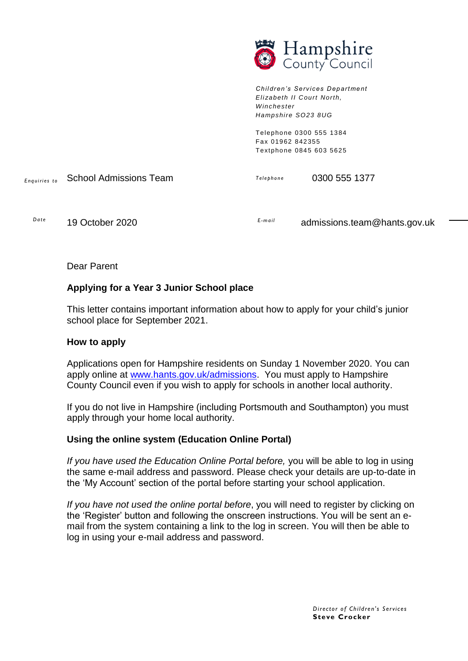

*Children's Services Depart ment Eli zabeth II Court North, Winchester Hampshire SO23 8UG*

Telephone 0300 555 1384 Fax 01962 842355 Textphone 0845 603 5625

*E nq ui ri es to T el e p ho n e* School Admissions Team 0300 555 1377

*Da t e*

*E -ma i l* 19 October 2020 **E-mail admissions.team@hants.gov.uk** 

Dear Parent

# **Applying for a Year 3 Junior School place**

This letter contains important information about how to apply for your child's junior school place for September 2021.

#### **How to apply**

Applications open for Hampshire residents on Sunday 1 November 2020. You can apply online at [www.hants.gov.uk/admissions.](http://www.hants.gov.uk/admissions) You must apply to Hampshire County Council even if you wish to apply for schools in another local authority.

If you do not live in Hampshire (including Portsmouth and Southampton) you must apply through your home local authority.

## **Using the online system (Education Online Portal)**

*If you have used the Education Online Portal before,* you will be able to log in using the same e-mail address and password. Please check your details are up-to-date in the 'My Account' section of the portal before starting your school application.

*If you have not used the online portal before*, you will need to register by clicking on the 'Register' button and following the onscreen instructions. You will be sent an email from the system containing a link to the log in screen. You will then be able to log in using your e-mail address and password.